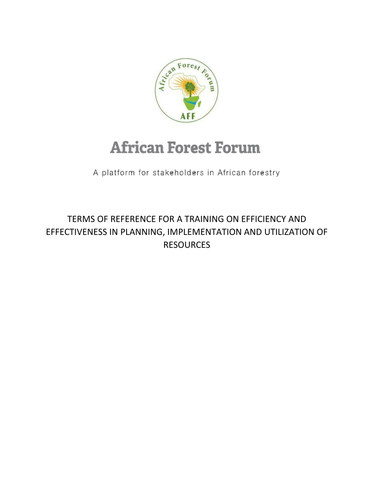

# **African Forest Forum**

A platform for stakeholders in African forestry

# TERMS OF REFERENCE FOR A TRAINING ON EFFICIENCY AND EFFECTIVENESS IN PLANNING, IMPLEMENTATION AND UTILIZATION OF **RESOURCES**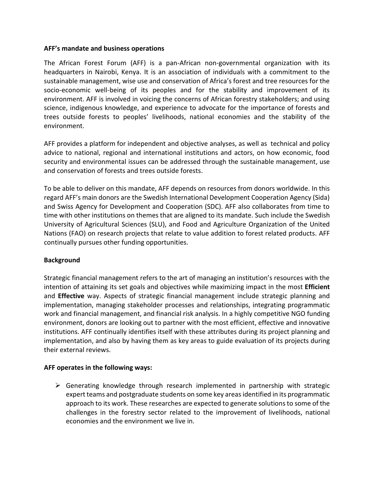#### **AFF's mandate and business operations**

The African Forest Forum (AFF) is a pan-African non-governmental organization with its headquarters in Nairobi, Kenya. It is an association of individuals with a commitment to the sustainable management, wise use and conservation of Africa's forest and tree resources for the socio-economic well-being of its peoples and for the stability and improvement of its environment. AFF is involved in voicing the concerns of African forestry stakeholders; and using science, indigenous knowledge, and experience to advocate for the importance of forests and trees outside forests to peoples' livelihoods, national economies and the stability of the environment.

AFF provides a platform for independent and objective analyses, as well as technical and policy advice to national, regional and international institutions and actors, on how economic, food security and environmental issues can be addressed through the sustainable management, use and conservation of forests and trees outside forests.

To be able to deliver on this mandate, AFF depends on resources from donors worldwide. In this regard AFF's main donors are the Swedish International Development Cooperation Agency (Sida) and Swiss Agency for Development and Cooperation (SDC). AFF also collaborates from time to time with other institutions on themes that are aligned to its mandate. Such include the Swedish University of Agricultural Sciences (SLU), and Food and Agriculture Organization of the United Nations (FAO) on research projects that relate to value addition to forest related products. AFF continually pursues other funding opportunities.

#### **Background**

Strategic financial management refers to the art of managing an institution's resources with the intention of attaining its set goals and objectives while maximizing impact in the most **Efficient** and **Effective** way. Aspects of strategic financial management include strategic planning and implementation, managing stakeholder processes and relationships, integrating programmatic work and financial management, and financial risk analysis. In a highly competitive NGO funding environment, donors are looking out to partner with the most efficient, effective and innovative institutions. AFF continually identifies itself with these attributes during its project planning and implementation, and also by having them as key areas to guide evaluation of its projects during their external reviews.

#### **AFF operates in the following ways:**

 $\triangleright$  Generating knowledge through research implemented in partnership with strategic expert teams and postgraduate students on some key areas identified in its programmatic approach to its work. These researches are expected to generate solutions to some of the challenges in the forestry sector related to the improvement of livelihoods, national economies and the environment we live in.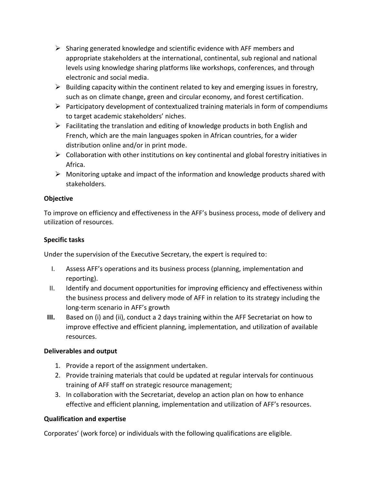- $\triangleright$  Sharing generated knowledge and scientific evidence with AFF members and appropriate stakeholders at the international, continental, sub regional and national levels using knowledge sharing platforms like workshops, conferences, and through electronic and social media.
- $\triangleright$  Building capacity within the continent related to key and emerging issues in forestry, such as on climate change, green and circular economy, and forest certification.
- $\triangleright$  Participatory development of contextualized training materials in form of compendiums to target academic stakeholders' niches.
- ➢ Facilitating the translation and editing of knowledge products in both English and French, which are the main languages spoken in African countries, for a wider distribution online and/or in print mode.
- $\triangleright$  Collaboration with other institutions on key continental and global forestry initiatives in Africa.
- $\triangleright$  Monitoring uptake and impact of the information and knowledge products shared with stakeholders.

# **Objective**

To improve on efficiency and effectiveness in the AFF's business process, mode of delivery and utilization of resources.

# **Specific tasks**

Under the supervision of the Executive Secretary, the expert is required to:

- I. Assess AFF's operations and its business process (planning, implementation and reporting).
- II. Identify and document opportunities for improving efficiency and effectiveness within the business process and delivery mode of AFF in relation to its strategy including the long-term scenario in AFF's growth
- **III.** Based on (i) and (ii), conduct a 2 days training within the AFF Secretariat on how to improve effective and efficient planning, implementation, and utilization of available resources.

# **Deliverables and output**

- 1. Provide a report of the assignment undertaken.
- 2. Provide training materials that could be updated at regular intervals for continuous training of AFF staff on strategic resource management;
- 3. In collaboration with the Secretariat, develop an action plan on how to enhance effective and efficient planning, implementation and utilization of AFF's resources.

# **Qualification and expertise**

Corporates' (work force) or individuals with the following qualifications are eligible.